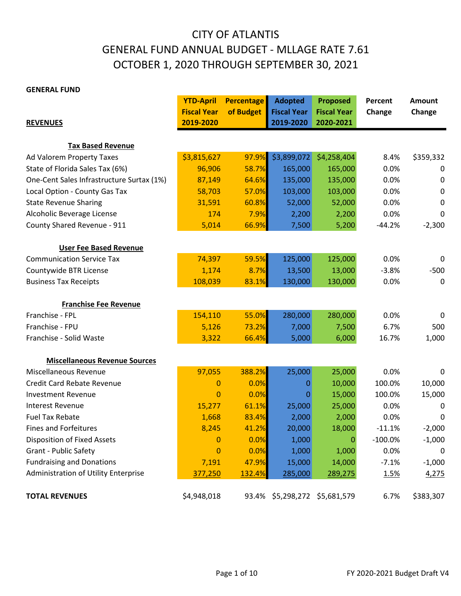## CITY OF ATLANTIS GENERAL FUND ANNUAL BUDGET - MLLAGE RATE 7.61 OCTOBER 1, 2020 THROUGH SEPTEMBER 30, 2021

#### **GENERAL FUND**

|                                           | <b>YTD-April</b>   | <b>Percentage</b> | <b>Adopted</b>     | <b>Proposed</b>    | Percent   | <b>Amount</b> |
|-------------------------------------------|--------------------|-------------------|--------------------|--------------------|-----------|---------------|
|                                           | <b>Fiscal Year</b> | of Budget         | <b>Fiscal Year</b> | <b>Fiscal Year</b> | Change    | Change        |
| <b>REVENUES</b>                           | 2019-2020          |                   | 2019-2020          | 2020-2021          |           |               |
| <b>Tax Based Revenue</b>                  |                    |                   |                    |                    |           |               |
|                                           |                    | 97.9%             |                    |                    |           |               |
| Ad Valorem Property Taxes                 | \$3,815,627        |                   | \$3,899,072        | \$4,258,404        | 8.4%      | \$359,332     |
| State of Florida Sales Tax (6%)           | 96,906             | 58.7%             | 165,000            | 165,000            | 0.0%      | 0             |
| One-Cent Sales Infrastructure Surtax (1%) | 87,149             | 64.6%             | 135,000            | 135,000            | 0.0%      | 0             |
| Local Option - County Gas Tax             | 58,703             | 57.0%             | 103,000            | 103,000            | 0.0%      | 0             |
| <b>State Revenue Sharing</b>              | 31,591             | 60.8%             | 52,000             | 52,000             | 0.0%      | 0             |
| Alcoholic Beverage License                | 174                | 7.9%              | 2,200              | 2,200              | 0.0%      | 0             |
| County Shared Revenue - 911               | 5,014              | 66.9%             | 7,500              | 5,200              | $-44.2%$  | $-2,300$      |
| <b>User Fee Based Revenue</b>             |                    |                   |                    |                    |           |               |
| <b>Communication Service Tax</b>          | 74,397             | 59.5%             | 125,000            | 125,000            | 0.0%      | 0             |
| Countywide BTR License                    | 1,174              | 8.7%              | 13,500             | 13,000             | $-3.8%$   | $-500$        |
| <b>Business Tax Receipts</b>              | 108,039            | 83.1%             | 130,000            | 130,000            | 0.0%      | $\mathbf 0$   |
|                                           |                    |                   |                    |                    |           |               |
| <b>Franchise Fee Revenue</b>              |                    |                   |                    |                    |           |               |
| Franchise - FPL                           | 154,110            | 55.0%             | 280,000            | 280,000            | 0.0%      | 0             |
| Franchise - FPU                           | 5,126              | 73.2%             | 7,000              | 7,500              | 6.7%      | 500           |
| Franchise - Solid Waste                   | 3,322              | 66.4%             | 5,000              | 6,000              | 16.7%     | 1,000         |
|                                           |                    |                   |                    |                    |           |               |
| <b>Miscellaneous Revenue Sources</b>      |                    |                   |                    |                    |           |               |
| Miscellaneous Revenue                     | 97,055             | 388.2%            | 25,000             | 25,000             | 0.0%      | 0             |
| <b>Credit Card Rebate Revenue</b>         | $\bf{0}$           | 0.0%              | 0                  | 10,000             | 100.0%    | 10,000        |
| <b>Investment Revenue</b>                 | $\mathbf 0$        | 0.0%              | 0                  | 15,000             | 100.0%    | 15,000        |
| <b>Interest Revenue</b>                   | 15,277             | 61.1%             | 25,000             | 25,000             | 0.0%      | 0             |
| <b>Fuel Tax Rebate</b>                    | 1,668              | 83.4%             | 2,000              | 2,000              | 0.0%      | 0             |
| <b>Fines and Forfeitures</b>              | 8,245              | 41.2%             | 20,000             | 18,000             | $-11.1%$  | $-2,000$      |
| Disposition of Fixed Assets               | $\overline{0}$     | 0.0%              | 1,000              | 0                  | $-100.0%$ | $-1,000$      |
| <b>Grant - Public Safety</b>              | $\mathbf{0}$       | 0.0%              | 1,000              | 1,000              | 0.0%      | 0             |
| <b>Fundraising and Donations</b>          | 7,191              | 47.9%             | 15,000             | 14,000             | $-7.1%$   | $-1,000$      |
| Administration of Utility Enterprise      | 377,250            | 132.4%            | 285,000            | 289,275            | 1.5%      | 4,275         |
| <b>TOTAL REVENUES</b>                     | \$4,948,018        | 93.4%             | \$5,298,272        | \$5,681,579        | 6.7%      | \$383,307     |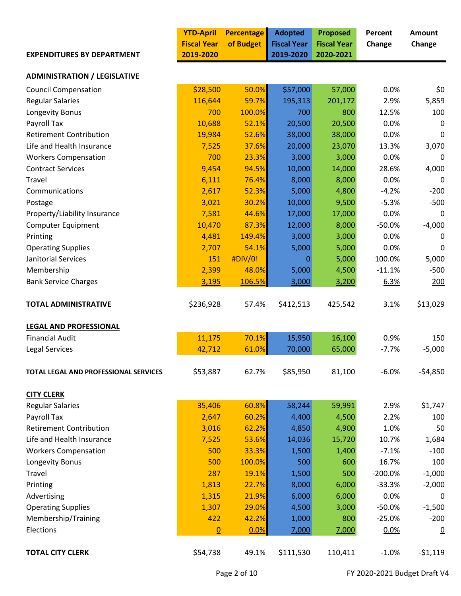|                                       | <b>YTD-April</b>   | <b>Percentage</b> | <b>Adopted</b>     | <b>Proposed</b>    | Percent   | <b>Amount</b>  |
|---------------------------------------|--------------------|-------------------|--------------------|--------------------|-----------|----------------|
|                                       | <b>Fiscal Year</b> | of Budget         | <b>Fiscal Year</b> | <b>Fiscal Year</b> | Change    | Change         |
| <b>EXPENDITURES BY DEPARTMENT</b>     | 2019-2020          |                   | 2019-2020          | 2020-2021          |           |                |
| <b>ADMINISTRATION / LEGISLATIVE</b>   |                    |                   |                    |                    |           |                |
| <b>Council Compensation</b>           | \$28,500           | 50.0%             | \$57,000           | 57,000             | 0.0%      | \$0            |
| <b>Regular Salaries</b>               | 116,644            | 59.7%             | 195,313            | 201,172            | 2.9%      | 5,859          |
| Longevity Bonus                       | 700                | 100.0%            | 700                | 800                | 12.5%     | 100            |
| Payroll Tax                           | 10,688             | 52.1%             | 20,500             | 20,500             | 0.0%      | 0              |
| <b>Retirement Contribution</b>        | 19,984             | 52.6%             | 38,000             | 38,000             | 0.0%      | 0              |
| Life and Health Insurance             | 7,525              | 37.6%             | 20,000             | 23,070             | 13.3%     | 3,070          |
| <b>Workers Compensation</b>           | 700                | 23.3%             | 3,000              | 3,000              | 0.0%      | 0              |
| <b>Contract Services</b>              | 9,454              | 94.5%             | 10,000             | 14,000             | 28.6%     | 4,000          |
| Travel                                | 6,111              | 76.4%             | 8,000              | 8,000              | 0.0%      | $\mathbf 0$    |
| Communications                        | 2,617              | 52.3%             | 5,000              | 4,800              | $-4.2%$   | $-200$         |
| Postage                               | 3,021              | 30.2%             | 10,000             | 9,500              | $-5.3%$   | $-500$         |
| Property/Liability Insurance          | 7,581              | 44.6%             | 17,000             | 17,000             | 0.0%      | $\Omega$       |
| <b>Computer Equipment</b>             | 10,470             | 87.3%             | 12,000             | 8,000              | $-50.0%$  | $-4,000$       |
| Printing                              | 4,481              | 149.4%            | 3,000              | 3,000              | 0.0%      | 0              |
| <b>Operating Supplies</b>             | 2,707              | 54.1%             | 5,000              | 5,000              | 0.0%      | 0              |
| Janitorial Services                   | 151                | #DIV/0!           | 0                  | 5,000              | 100.0%    | 5,000          |
| Membership                            | 2,399              | 48.0%             | 5,000              | 4,500              | $-11.1%$  | $-500$         |
| <b>Bank Service Charges</b>           | 3,195              | 106.5%            | 3,000              | 3,200              | 6.3%      | 200            |
|                                       |                    |                   |                    |                    |           |                |
| <b>TOTAL ADMINISTRATIVE</b>           | \$236,928          | 57.4%             | \$412,513          | 425,542            | 3.1%      | \$13,029       |
| <b>LEGAL AND PROFESSIONAL</b>         |                    |                   |                    |                    |           |                |
| <b>Financial Audit</b>                | 11,175             | 70.1%             | 15,950             | 16,100             | 0.9%      | 150            |
| <b>Legal Services</b>                 | 42,712             | 61.0%             | 70,000             | 65,000             | $-7.7%$   | $-5,000$       |
| TOTAL LEGAL AND PROFESSIONAL SERVICES | \$53,887           | 62.7%             | \$85,950           | 81,100             | $-6.0%$   | $-54,850$      |
| <b>CITY CLERK</b>                     |                    |                   |                    |                    |           |                |
| <b>Regular Salaries</b>               | 35,406             | 60.8%             | 58,244             | 59,991             | 2.9%      | \$1,747        |
| Payroll Tax                           | 2,647              | 60.2%             | 4,400              | 4,500              | 2.2%      | 100            |
| <b>Retirement Contribution</b>        | 3,016              | 62.2%             | 4,850              | 4,900              | 1.0%      | 50             |
| Life and Health Insurance             | 7,525              | 53.6%             | 14,036             | 15,720             | 10.7%     | 1,684          |
| <b>Workers Compensation</b>           | 500                | 33.3%             | 1,500              | 1,400              | $-7.1%$   | $-100$         |
| Longevity Bonus                       | 500                | 100.0%            | 500                | 600                | 16.7%     | 100            |
| Travel                                | 287                | 19.1%             | 1,500              | 500                | $-200.0%$ | $-1,000$       |
| Printing                              | 1,813              | 22.7%             | 8,000              | 6,000              | $-33.3%$  | $-2,000$       |
| Advertising                           | 1,315              | 21.9%             | 6,000              | 6,000              | 0.0%      | 0              |
| <b>Operating Supplies</b>             | 1,307              | 29.0%             | 4,500              | 3,000              | $-50.0%$  | $-1,500$       |
| Membership/Training                   | 422                | 42.2%             | 1,000              | 800                | $-25.0%$  | $-200$         |
| Elections                             | $\Omega$           | 0.0%              | 7,000              | 7,000              | 0.0%      | $\overline{0}$ |
| <b>TOTAL CITY CLERK</b>               | \$54,738           | 49.1%             | \$111,530          | 110,411            | $-1.0%$   | $-51,119$      |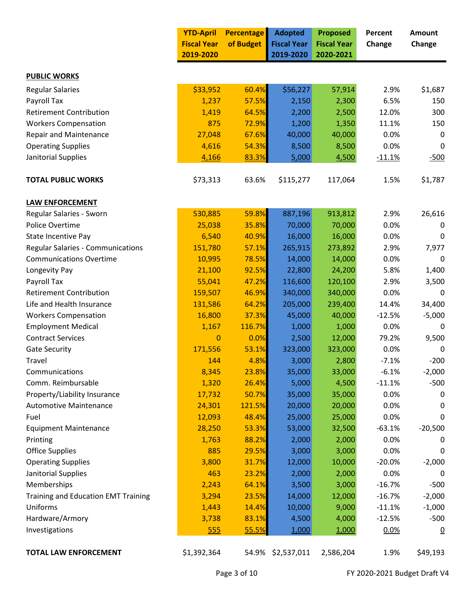|                                            | <b>YTD-April</b>   | <b>Percentage</b> | <b>Adopted</b>     | <b>Proposed</b>    | Percent  | Amount         |
|--------------------------------------------|--------------------|-------------------|--------------------|--------------------|----------|----------------|
|                                            | <b>Fiscal Year</b> | of Budget         | <b>Fiscal Year</b> | <b>Fiscal Year</b> | Change   | Change         |
|                                            | 2019-2020          |                   | 2019-2020          | 2020-2021          |          |                |
| <b>PUBLIC WORKS</b>                        |                    |                   |                    |                    |          |                |
| <b>Regular Salaries</b>                    | \$33,952           | 60.4%             | \$56,227           | 57,914             | 2.9%     | \$1,687        |
| Payroll Tax                                | 1,237              | 57.5%             | 2,150              | 2,300              | 6.5%     | 150            |
| <b>Retirement Contribution</b>             | 1,419              | 64.5%             | 2,200              | 2,500              | 12.0%    | 300            |
| <b>Workers Compensation</b>                | 875                | 72.9%             | 1,200              | 1,350              | 11.1%    | 150            |
| Repair and Maintenance                     | 27,048             | 67.6%             | 40,000             | 40,000             | 0.0%     | 0              |
| <b>Operating Supplies</b>                  | 4,616              | 54.3%             | 8,500              | 8,500              | 0.0%     | 0              |
| Janitorial Supplies                        | 4,166              | 83.3%             | 5,000              | 4,500              | $-11.1%$ | $-500$         |
| <b>TOTAL PUBLIC WORKS</b>                  | \$73,313           | 63.6%             | \$115,277          | 117,064            | 1.5%     | \$1,787        |
| <b>LAW ENFORCEMENT</b>                     |                    |                   |                    |                    |          |                |
| Regular Salaries - Sworn                   | 530,885            | 59.8%             | 887,196            | 913,812            | 2.9%     | 26,616         |
| Police Overtime                            | 25,038             | 35.8%             | 70,000             | 70,000             | 0.0%     | 0              |
| State Incentive Pay                        | 6,540              | 40.9%             | 16,000             | 16,000             | 0.0%     | 0              |
| <b>Regular Salaries - Communications</b>   | 151,780            | 57.1%             | 265,915            | 273,892            | 2.9%     | 7,977          |
| <b>Communications Overtime</b>             | 10,995             | 78.5%             | 14,000             | 14,000             | 0.0%     | 0              |
| Longevity Pay                              | 21,100             | 92.5%             | 22,800             | 24,200             | 5.8%     | 1,400          |
| Payroll Tax                                | 55,041             | 47.2%             | 116,600            | 120,100            | 2.9%     | 3,500          |
| <b>Retirement Contribution</b>             | 159,507            | 46.9%             | 340,000            | 340,000            | 0.0%     | 0              |
| Life and Health Insurance                  | 131,586            | 64.2%             | 205,000            | 239,400            | 14.4%    | 34,400         |
| <b>Workers Compensation</b>                | 16,800             | 37.3%             | 45,000             | 40,000             | $-12.5%$ | $-5,000$       |
| <b>Employment Medical</b>                  | 1,167              | 116.7%            | 1,000              | 1,000              | 0.0%     | 0              |
| <b>Contract Services</b>                   | $\mathbf{0}$       | 0.0%              | 2,500              | 12,000             | 79.2%    | 9,500          |
| <b>Gate Security</b>                       | 171,556            | 53.1%             | 323,000            | 323,000            | 0.0%     | 0              |
| Travel                                     | 144                | 4.8%              | 3,000              | 2,800              | $-7.1%$  | $-200$         |
| Communications                             | 8,345              | 23.8%             | 35,000             | 33,000             | $-6.1%$  | $-2,000$       |
| Comm. Reimbursable                         | 1,320              | 26.4%             | 5,000              | 4,500              | $-11.1%$ | $-500$         |
| Property/Liability Insurance               | 17,732             | 50.7%             | 35,000             | 35,000             | 0.0%     | 0              |
| <b>Automotive Maintenance</b>              | 24,301             | 121.5%            | 20,000             | 20,000             | 0.0%     | 0              |
| Fuel                                       | 12,093             | 48.4%             | 25,000             | 25,000             | 0.0%     | 0              |
| <b>Equipment Maintenance</b>               | 28,250             | 53.3%             | 53,000             | 32,500             | $-63.1%$ | $-20,500$      |
| Printing                                   | 1,763              | 88.2%             | 2,000              | 2,000              | 0.0%     | 0              |
| <b>Office Supplies</b>                     | 885                | 29.5%             | 3,000              | 3,000              | 0.0%     | 0              |
| <b>Operating Supplies</b>                  | 3,800              | 31.7%             | 12,000             | 10,000             | $-20.0%$ | $-2,000$       |
| Janitorial Supplies                        | 463                | 23.2%             | 2,000              | 2,000              | 0.0%     | 0              |
| Memberships                                | 2,243              | 64.1%             | 3,500              | 3,000              | $-16.7%$ | $-500$         |
| <b>Training and Education EMT Training</b> | 3,294              | 23.5%             | 14,000             | 12,000             | $-16.7%$ | $-2,000$       |
| Uniforms                                   | 1,443              | 14.4%             | 10,000             | 9,000              | $-11.1%$ | $-1,000$       |
| Hardware/Armory                            | 3,738              | 83.1%             | 4,500              | 4,000              | $-12.5%$ | $-500$         |
| Investigations                             | 555                | 55.5%             | 1,000              | 1,000              | 0.0%     | $\overline{0}$ |
| <b>TOTAL LAW ENFORCEMENT</b>               | \$1,392,364        |                   | 54.9% \$2,537,011  | 2,586,204          | 1.9%     | \$49,193       |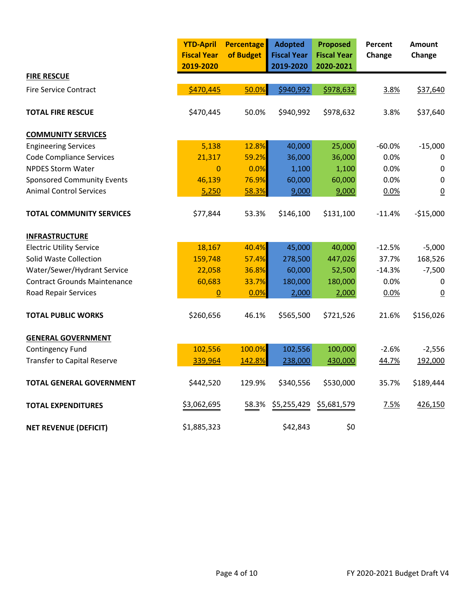|                                     | <b>YTD-April</b><br><b>Fiscal Year</b><br>2019-2020 | <b>Percentage</b><br>of Budget | <b>Adopted</b><br><b>Fiscal Year</b><br>2019-2020 | <b>Proposed</b><br><b>Fiscal Year</b><br>2020-2021 | Percent<br>Change | Amount<br>Change |
|-------------------------------------|-----------------------------------------------------|--------------------------------|---------------------------------------------------|----------------------------------------------------|-------------------|------------------|
| <b>FIRE RESCUE</b>                  |                                                     |                                |                                                   |                                                    |                   |                  |
| <b>Fire Service Contract</b>        | \$470,445                                           | 50.0%                          | \$940,992                                         | \$978,632                                          | 3.8%              | \$37,640         |
| <b>TOTAL FIRE RESCUE</b>            | \$470,445                                           | 50.0%                          | \$940,992                                         | \$978,632                                          | 3.8%              | \$37,640         |
| <b>COMMUNITY SERVICES</b>           |                                                     |                                |                                                   |                                                    |                   |                  |
| <b>Engineering Services</b>         | 5,138                                               | 12.8%                          | 40,000                                            | 25,000                                             | $-60.0%$          | $-15,000$        |
| <b>Code Compliance Services</b>     | 21,317                                              | 59.2%                          | 36,000                                            | 36,000                                             | 0.0%              | $\mathbf 0$      |
| <b>NPDES Storm Water</b>            | $\overline{0}$                                      | 0.0%                           | 1,100                                             | 1,100                                              | 0.0%              | 0                |
| <b>Sponsored Community Events</b>   | 46,139                                              | 76.9%                          | 60,000                                            | 60,000                                             | 0.0%              | 0                |
| <b>Animal Control Services</b>      | 5,250                                               | 58.3%                          | 9,000                                             | 9,000                                              | 0.0%              | $\overline{0}$   |
| <b>TOTAL COMMUNITY SERVICES</b>     | \$77,844                                            | 53.3%                          | \$146,100                                         | \$131,100                                          | $-11.4%$          | $-$15,000$       |
| <b>INFRASTRUCTURE</b>               |                                                     |                                |                                                   |                                                    |                   |                  |
| <b>Electric Utility Service</b>     | 18,167                                              | 40.4%                          | 45,000                                            | 40,000                                             | $-12.5%$          | $-5,000$         |
| <b>Solid Waste Collection</b>       | 159,748                                             | 57.4%                          | 278,500                                           | 447,026                                            | 37.7%             | 168,526          |
| Water/Sewer/Hydrant Service         | 22,058                                              | 36.8%                          | 60,000                                            | 52,500                                             | $-14.3%$          | $-7,500$         |
| <b>Contract Grounds Maintenance</b> | 60,683                                              | 33.7%                          | 180,000                                           | 180,000                                            | 0.0%              | 0                |
| Road Repair Services                | $\mathbf{0}$                                        | 0.0%                           | 2,000                                             | 2,000                                              | 0.0%              | $\overline{0}$   |
| <b>TOTAL PUBLIC WORKS</b>           | \$260,656                                           | 46.1%                          | \$565,500                                         | \$721,526                                          | 21.6%             | \$156,026        |
| <b>GENERAL GOVERNMENT</b>           |                                                     |                                |                                                   |                                                    |                   |                  |
| Contingency Fund                    | 102,556                                             | 100.0%                         | 102,556                                           | 100,000                                            | $-2.6%$           | $-2,556$         |
| <b>Transfer to Capital Reserve</b>  | 339,964                                             | 142.8%                         | 238,000                                           | 430,000                                            | 44.7%             | 192,000          |
| <b>TOTAL GENERAL GOVERNMENT</b>     | \$442,520                                           | 129.9%                         | \$340,556                                         | \$530,000                                          | 35.7%             | \$189,444        |
| <b>TOTAL EXPENDITURES</b>           | \$3,062,695                                         | 58.3%                          | \$5,255,429 \$5,681,579                           |                                                    | 7.5%              | 426,150          |
| <b>NET REVENUE (DEFICIT)</b>        | \$1,885,323                                         |                                | \$42,843                                          | \$0                                                |                   |                  |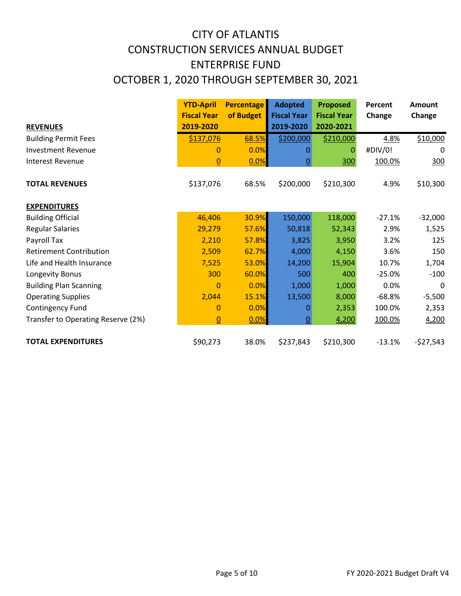# CONSTRUCTION SERVICES ANNUAL BUDGET ENTERPRISE FUND OCTOBER 1, 2020 THROUGH SEPTEMBER 30, 2021 CITY OF ATLANTIS

|                                    | <b>YTD-April</b>   | <b>Percentage</b> | <b>Adopted</b>     | <b>Proposed</b>    | Percent  | <b>Amount</b> |
|------------------------------------|--------------------|-------------------|--------------------|--------------------|----------|---------------|
|                                    | <b>Fiscal Year</b> | of Budget         | <b>Fiscal Year</b> | <b>Fiscal Year</b> | Change   | Change        |
| <b>REVENUES</b>                    | 2019-2020          |                   | 2019-2020          | 2020-2021          |          |               |
| <b>Building Permit Fees</b>        | \$137,076          | 68.5%             | \$200,000          | \$210,000          | 4.8%     | \$10,000      |
| <b>Investment Revenue</b>          | $\mathbf{0}$       | 0.0%              | 0                  | 0                  | #DIV/0!  | 0             |
| <b>Interest Revenue</b>            | $\overline{0}$     | 0.0%              | $\underline{0}$    | 300                | 100.0%   | 300           |
| <b>TOTAL REVENUES</b>              | \$137,076          | 68.5%             | \$200,000          | \$210,300          | 4.9%     | \$10,300      |
| <b>EXPENDITURES</b>                |                    |                   |                    |                    |          |               |
| <b>Building Official</b>           | 46,406             | 30.9%             | 150,000            | 118,000            | $-27.1%$ | $-32,000$     |
| <b>Regular Salaries</b>            | 29,279             | 57.6%             | 50,818             | 52,343             | 2.9%     | 1,525         |
| Payroll Tax                        | 2,210              | 57.8%             | 3,825              | 3,950              | 3.2%     | 125           |
| <b>Retirement Contribution</b>     | 2,509              | 62.7%             | 4,000              | 4,150              | 3.6%     | 150           |
| Life and Health Insurance          | 7,525              | 53.0%             | 14,200             | 15,904             | 10.7%    | 1,704         |
| Longevity Bonus                    | 300                | 60.0%             | 500                | 400                | $-25.0%$ | $-100$        |
| <b>Building Plan Scanning</b>      | $\overline{0}$     | 0.0%              | 1,000              | 1,000              | 0.0%     | $\Omega$      |
| <b>Operating Supplies</b>          | 2,044              | 15.1%             | 13,500             | 8,000              | $-68.8%$ | $-5,500$      |
| Contingency Fund                   | $\mathbf{0}$       | 0.0%              | 0                  | 2,353              | 100.0%   | 2,353         |
| Transfer to Operating Reserve (2%) | $\overline{0}$     | 0.0%              | $\overline{0}$     | 4,200              | 100.0%   | 4,200         |
| <b>TOTAL EXPENDITURES</b>          | \$90,273           | 38.0%             | \$237,843          | \$210,300          | $-13.1%$ | $-527,543$    |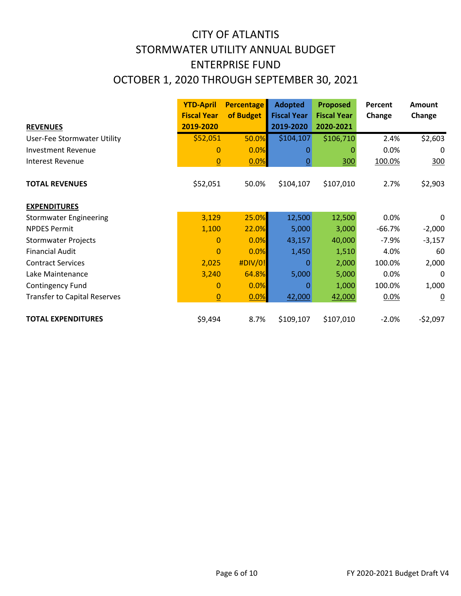# CITY OF ATLANTIS STORMWATER UTILITY ANNUAL BUDGET OCTOBER 1, 2020 THROUGH SEPTEMBER 30, 2021 ENTERPRISE FUND

|                                     | <b>YTD-April</b>   | <b>Percentage</b> | <b>Adopted</b>     | <b>Proposed</b>    | Percent  | <b>Amount</b>  |
|-------------------------------------|--------------------|-------------------|--------------------|--------------------|----------|----------------|
|                                     | <b>Fiscal Year</b> | of Budget         | <b>Fiscal Year</b> | <b>Fiscal Year</b> | Change   | Change         |
| <b>REVENUES</b>                     | 2019-2020          |                   | 2019-2020          | 2020-2021          |          |                |
| User-Fee Stormwater Utility         | \$52,051           | 50.0%             | \$104,107          | \$106,710          | 2.4%     | \$2,603        |
| <b>Investment Revenue</b>           | $\mathbf{0}$       | 0.0%              | Ω                  | 0                  | 0.0%     | $\Omega$       |
| Interest Revenue                    | $\Omega$           | 0.0%              | <u>0</u>           | 300                | 100.0%   | 300            |
| <b>TOTAL REVENUES</b>               | \$52,051           | 50.0%             | \$104,107          | \$107,010          | 2.7%     | \$2,903        |
| <b>EXPENDITURES</b>                 |                    |                   |                    |                    |          |                |
| <b>Stormwater Engineering</b>       | 3,129              | 25.0%             | 12,500             | 12,500             | 0.0%     | 0              |
| <b>NPDES Permit</b>                 | 1,100              | 22.0%             | 5,000              | 3,000              | $-66.7%$ | $-2,000$       |
| <b>Stormwater Projects</b>          | $\mathbf{0}$       | 0.0%              | 43,157             | 40,000             | $-7.9%$  | $-3,157$       |
| <b>Financial Audit</b>              | $\mathbf{0}$       | 0.0%              | 1,450              | 1,510              | 4.0%     | 60             |
| <b>Contract Services</b>            | 2,025              | #DIV/0!           | 0                  | 2,000              | 100.0%   | 2,000          |
| Lake Maintenance                    | 3,240              | 64.8%             | 5,000              | 5,000              | 0.0%     | $\Omega$       |
| Contingency Fund                    | $\overline{0}$     | 0.0%              | 0                  | 1,000              | 100.0%   | 1,000          |
| <b>Transfer to Capital Reserves</b> | $\Omega$           | 0.0%              | 42,000             | 42,000             | 0.0%     | $\overline{0}$ |
| <b>TOTAL EXPENDITURES</b>           | \$9,494            | 8.7%              | \$109,107          | \$107,010          | $-2.0%$  | $-52,097$      |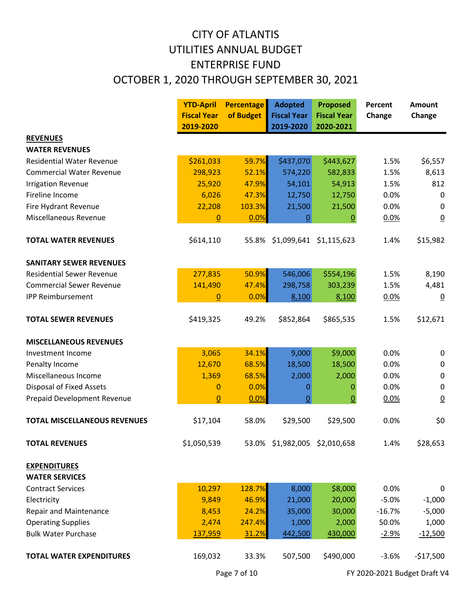# CITY OF ATLANTIS UTILITIES ANNUAL BUDGET ENTERPRISE FUND OCTOBER 1, 2020 THROUGH SEPTEMBER 30, 2021

|                                              | <b>YTD-April</b>   | <b>Percentage</b> | <b>Adopted</b>                | <b>Proposed</b>    | Percent  | <b>Amount</b>    |
|----------------------------------------------|--------------------|-------------------|-------------------------------|--------------------|----------|------------------|
|                                              | <b>Fiscal Year</b> | of Budget         | <b>Fiscal Year</b>            | <b>Fiscal Year</b> | Change   | Change           |
|                                              | 2019-2020          |                   | 2019-2020                     | 2020-2021          |          |                  |
| <b>REVENUES</b>                              |                    |                   |                               |                    |          |                  |
| <b>WATER REVENUES</b>                        |                    |                   |                               |                    |          |                  |
| <b>Residential Water Revenue</b>             | \$261,033          | 59.7%             | \$437,070                     | \$443,627          | 1.5%     | \$6,557          |
| <b>Commercial Water Revenue</b>              | 298,923            | 52.1%             | 574,220                       | 582,833            | 1.5%     | 8,613            |
| <b>Irrigation Revenue</b>                    | 25,920             | 47.9%             | 54,101                        | 54,913             | 1.5%     | 812              |
| Fireline Income                              | 6,026              | 47.3%             | 12,750                        | 12,750             | 0.0%     | 0                |
| Fire Hydrant Revenue                         | 22,208             | 103.3%            | 21,500                        | 21,500             | 0.0%     | $\mathbf 0$      |
| Miscellaneous Revenue                        | $\overline{0}$     | 0.0%              | <u>0</u>                      | $\overline{0}$     | 0.0%     | $\overline{0}$   |
| <b>TOTAL WATER REVENUES</b>                  | \$614,110          | 55.8%             | \$1,099,641                   | \$1,115,623        | 1.4%     | \$15,982         |
| <b>SANITARY SEWER REVENUES</b>               |                    |                   |                               |                    |          |                  |
| <b>Residential Sewer Revenue</b>             | 277,835            | 50.9%             | 546,006                       | \$554,196          | 1.5%     | 8,190            |
| <b>Commercial Sewer Revenue</b>              | 141,490            | 47.4%             | 298,758                       | 303,239            | 1.5%     | 4,481            |
| <b>IPP Reimbursement</b>                     | $\mathbf{0}$       | 0.0%              | 8,100                         | 8,100              | 0.0%     | $\overline{0}$   |
| <b>TOTAL SEWER REVENUES</b>                  | \$419,325          | 49.2%             | \$852,864                     | \$865,535          | 1.5%     | \$12,671         |
| <b>MISCELLANEOUS REVENUES</b>                |                    |                   |                               |                    |          |                  |
| Investment Income                            | 3,065              | 34.1%             | 9,000                         | \$9,000            | 0.0%     | $\boldsymbol{0}$ |
| Penalty Income                               | 12,670             | 68.5%             | 18,500                        | 18,500             | 0.0%     | $\mathbf 0$      |
| Miscellaneous Income                         | 1,369              | 68.5%             | 2,000                         | 2,000              | 0.0%     | $\mathbf 0$      |
| <b>Disposal of Fixed Assets</b>              | $\mathbf 0$        | 0.0%              | 0                             | 0                  | 0.0%     | $\pmb{0}$        |
| Prepaid Development Revenue                  | $\Omega$           | 0.0%              | $\underline{0}$               | $\underline{0}$    | 0.0%     | $\overline{0}$   |
| <b>TOTAL MISCELLANEOUS REVENUES</b>          | \$17,104           | 58.0%             | \$29,500                      | \$29,500           | 0.0%     | \$0              |
| <b>TOTAL REVENUES</b>                        | \$1,050,539        |                   | 53.0% \$1,982,005 \$2,010,658 |                    | 1.4%     | \$28,653         |
| <b>EXPENDITURES</b><br><b>WATER SERVICES</b> |                    |                   |                               |                    |          |                  |
| <b>Contract Services</b>                     | 10,297             | 128.7%            | 8,000                         | \$8,000            | 0.0%     | 0                |
| Electricity                                  | 9,849              | 46.9%             | 21,000                        | 20,000             | $-5.0%$  | $-1,000$         |
| <b>Repair and Maintenance</b>                | 8,453              | 24.2%             | 35,000                        | 30,000             | $-16.7%$ | $-5,000$         |
| <b>Operating Supplies</b>                    | 2,474              | 247.4%            | 1,000                         | 2,000              | 50.0%    | 1,000            |
| <b>Bulk Water Purchase</b>                   | 137,959            | 31.2%             | 442,500                       | 430,000            | $-2.9%$  | $-12,500$        |
|                                              |                    |                   |                               |                    |          |                  |
| <b>TOTAL WATER EXPENDITURES</b>              | 169,032            | 33.3%             | 507,500                       | \$490,000          | $-3.6%$  | $-$17,500$       |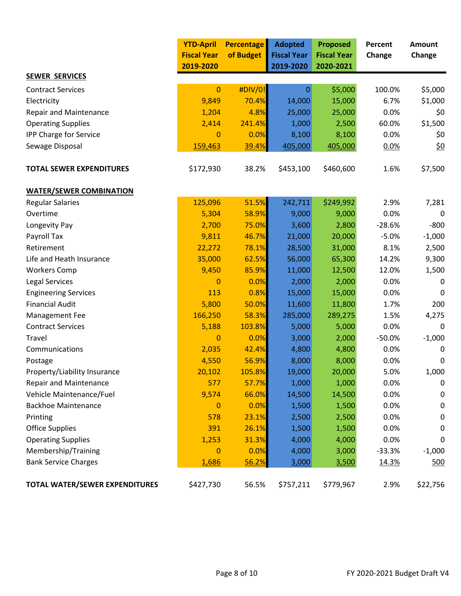|                                       | <b>YTD-April</b><br><b>Fiscal Year</b><br>2019-2020 | <b>Percentage</b><br>of Budget | <b>Adopted</b><br><b>Fiscal Year</b><br>2019-2020 | <b>Proposed</b><br><b>Fiscal Year</b><br>2020-2021 | Percent<br>Change | <b>Amount</b><br>Change |
|---------------------------------------|-----------------------------------------------------|--------------------------------|---------------------------------------------------|----------------------------------------------------|-------------------|-------------------------|
| <b>SEWER SERVICES</b>                 |                                                     |                                |                                                   |                                                    |                   |                         |
| <b>Contract Services</b>              | $\mathbf{0}$                                        | #DIV/0!                        | $\mathbf{0}$                                      | \$5,000                                            | 100.0%            | \$5,000                 |
| Electricity                           | 9,849                                               | 70.4%                          | 14,000                                            | 15,000                                             | 6.7%              | \$1,000                 |
| <b>Repair and Maintenance</b>         | 1,204                                               | 4.8%                           | 25,000                                            | 25,000                                             | 0.0%              | \$0                     |
| <b>Operating Supplies</b>             | 2,414                                               | 241.4%                         | 1,000                                             | 2,500                                              | 60.0%             | \$1,500                 |
| IPP Charge for Service                | $\mathbf{0}$                                        | 0.0%                           | 8,100                                             | 8,100                                              | 0.0%              | \$0                     |
| Sewage Disposal                       | 159,463                                             | 39.4%                          | 405,000                                           | 405,000                                            | 0.0%              | <u>\$0</u>              |
| <b>TOTAL SEWER EXPENDITURES</b>       | \$172,930                                           | 38.2%                          | \$453,100                                         | \$460,600                                          | 1.6%              | \$7,500                 |
| <b>WATER/SEWER COMBINATION</b>        |                                                     |                                |                                                   |                                                    |                   |                         |
| <b>Regular Salaries</b>               | 125,096                                             | 51.5%                          | 242,711                                           | \$249,992                                          | 2.9%              | 7,281                   |
| Overtime                              | 5,304                                               | 58.9%                          | 9,000                                             | 9,000                                              | 0.0%              | $\Omega$                |
| Longevity Pay                         | 2,700                                               | 75.0%                          | 3,600                                             | 2,800                                              | $-28.6%$          | $-800$                  |
| Payroll Tax                           | 9,811                                               | 46.7%                          | 21,000                                            | 20,000                                             | $-5.0%$           | $-1,000$                |
| Retirement                            | 22,272                                              | 78.1%                          | 28,500                                            | 31,000                                             | 8.1%              | 2,500                   |
| Life and Heath Insurance              | 35,000                                              | 62.5%                          | 56,000                                            | 65,300                                             | 14.2%             | 9,300                   |
| <b>Workers Comp</b>                   | 9,450                                               | 85.9%                          | 11,000                                            | 12,500                                             | 12.0%             | 1,500                   |
| Legal Services                        | $\bf{0}$                                            | 0.0%                           | 2,000                                             | 2,000                                              | 0.0%              | 0                       |
| <b>Engineering Services</b>           | 113                                                 | 0.8%                           | 15,000                                            | 15,000                                             | 0.0%              | 0                       |
| <b>Financial Audit</b>                | 5,800                                               | 50.0%                          | 11,600                                            | 11,800                                             | 1.7%              | 200                     |
| Management Fee                        | 166,250                                             | 58.3%                          | 285,000                                           | 289,275                                            | 1.5%              | 4,275                   |
| <b>Contract Services</b>              | 5,188                                               | 103.8%                         | 5,000                                             | 5,000                                              | 0.0%              | $\mathbf 0$             |
| Travel                                | $\mathbf{0}$                                        | 0.0%                           | 3,000                                             | 2,000                                              | $-50.0%$          | $-1,000$                |
| Communications                        | 2,035                                               | 42.4%                          | 4,800                                             | 4,800                                              | 0.0%              | 0                       |
| Postage                               | 4,550                                               | 56.9%                          | 8,000                                             | 8,000                                              | 0.0%              | 0                       |
| Property/Liability Insurance          | 20,102                                              | 105.8%                         | 19,000                                            | 20,000                                             | 5.0%              | 1,000                   |
| <b>Repair and Maintenance</b>         | 577                                                 | 57.7%                          | 1,000                                             | 1,000                                              | 0.0%              | 0                       |
| Vehicle Maintenance/Fuel              | 9,574                                               | 66.0%                          | 14,500                                            | 14,500                                             | 0.0%              | 0                       |
| <b>Backhoe Maintenance</b>            | $\mathbf 0$                                         | 0.0%                           | 1,500                                             | 1,500                                              | 0.0%              | 0                       |
| Printing                              | 578                                                 | 23.1%                          | 2,500                                             | 2,500                                              | 0.0%              | 0                       |
| <b>Office Supplies</b>                | 391                                                 | 26.1%                          | 1,500                                             | 1,500                                              | 0.0%              | 0                       |
| <b>Operating Supplies</b>             | 1,253                                               | 31.3%                          | 4,000                                             | 4,000                                              | 0.0%              | 0                       |
| Membership/Training                   | $\bf{0}$                                            | 0.0%                           | 4,000                                             | 3,000                                              | $-33.3%$          | $-1,000$                |
| <b>Bank Service Charges</b>           | 1,686                                               | 56.2%                          | 3,000                                             | 3,500                                              | 14.3%             | <u>500</u>              |
| <b>TOTAL WATER/SEWER EXPENDITURES</b> | \$427,730                                           | 56.5%                          | \$757,211                                         | \$779,967                                          | 2.9%              | \$22,756                |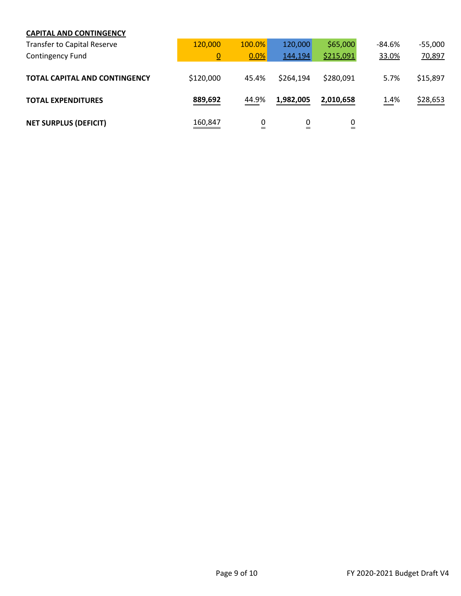#### **CAPITAL AND CONTINGENCY**

| <b>Transfer to Capital Reserve</b>   | 120,000        | 100.0% | 120,000   | \$65,000  | -84.6% | $-55,000$ |
|--------------------------------------|----------------|--------|-----------|-----------|--------|-----------|
| Contingency Fund                     | $\overline{0}$ | 0.0%   | 144,194   | \$215,091 | 33.0%  | 70,897    |
| <b>TOTAL CAPITAL AND CONTINGENCY</b> | \$120,000      | 45.4%  | \$264,194 | \$280,091 | 5.7%   | \$15,897  |
| <b>TOTAL EXPENDITURES</b>            | 889,692        | 44.9%  | 1,982,005 | 2,010,658 | 1.4%   | \$28,653  |
| <b>NET SURPLUS (DEFICIT)</b>         | 160,847        | 0<br>= | 0<br>=    | 0<br>=    |        |           |